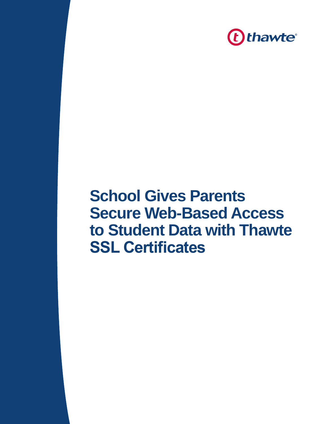

# **School Gives Parents Secure Web-Based Access to Student Data with Thawte SSL Certificates**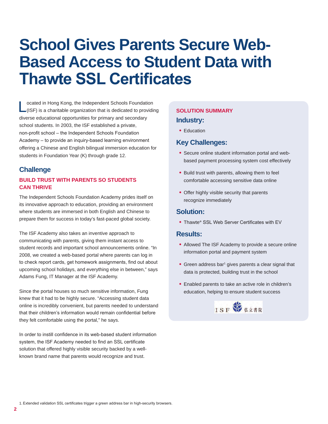# **School Gives Parents Secure Web-Based Access to Student Data with Thawte SSL Certificates**

Located in Hong Kong, the Independent Schools Foundation (ISF) is a charitable organization that is dedicated to providing diverse educational opportunities for primary and secondary school students. In 2003, the ISF established a private, non-profit school – the Independent Schools Foundation Academy – to provide an inquiry-based learning environment offering a Chinese and English bilingual immersion education for students in Foundation Year (K) through grade 12.

# **Challenge**

### **BUILD TRUST WITH PARENTS SO STUDENTS CAN THRIVE**

The Independent Schools Foundation Academy prides itself on its innovative approach to education, providing an environment where students are immersed in both English and Chinese to prepare them for success in today's fast-paced global society.

The ISF Academy also takes an inventive approach to communicating with parents, giving them instant access to student records and important school announcements online. "In 2008, we created a web-based portal where parents can log in to check report cards, get homework assignments, find out about upcoming school holidays, and everything else in between," says Adams Fung, IT Manager at the ISF Academy.

Since the portal houses so much sensitive information, Fung knew that it had to be highly secure. "Accessing student data online is incredibly convenient, but parents needed to understand that their children's information would remain confidential before they felt comfortable using the portal," he says.

In order to instill confidence in its web-based student information system, the ISF Academy needed to find an SSL certificate solution that offered highly visible security backed by a wellknown brand name that parents would recognize and trust.

# **SOLUTION SUMMARY Industry:**

• Education

# **Key Challenges:**

- Secure online student information portal and webbased payment processing system cost effectively
- Build trust with parents, allowing them to feel comfortable accessing sensitive data online
- Offer highly visible security that parents recognize immediately

### **Solution:**

• Thawte® SSL Web Server Certificates with EV

#### **Results:**

- Allowed The ISF Academy to provide a secure online information portal and payment system
- Green address bar<sup>1</sup> gives parents a clear signal that data is protected, building trust in the school
- Enabled parents to take an active role in children's education, helping to ensure student success